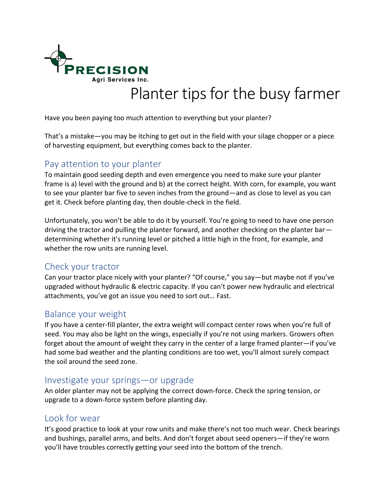

# Planter tips for the busy farmer

Have you been paying too much attention to everything but your planter?

That's a mistake—you may be itching to get out in the field with your silage chopper or a piece of harvesting equipment, but everything comes back to the planter.

## Pay attention to your planter

To maintain good seeding depth and even emergence you need to make sure your planter frame is a) level with the ground and b) at the correct height. With corn, for example, you want to see your planter bar five to seven inches from the ground—and as close to level as you can get it. Check before planting day, then double-check in the field.

Unfortunately, you won't be able to do it by yourself. You're going to need to have one person driving the tractor and pulling the planter forward, and another checking on the planter bar determining whether it's running level or pitched a little high in the front, for example, and whether the row units are running level.

## Check your tractor

Can your tractor place nicely with your planter? "Of course," you say—but maybe not if you've upgraded without hydraulic & electric capacity. If you can't power new hydraulic and electrical attachments, you've got an issue you need to sort out… Fast.

## Balance your weight

If you have a center-fill planter, the extra weight will compact center rows when you're full of seed. You may also be light on the wings, especially if you're not using markers. Growers often forget about the amount of weight they carry in the center of a large framed planter—if you've had some bad weather and the planting conditions are too wet, you'll almost surely compact the soil around the seed zone.

#### Investigate your springs—or upgrade

An older planter may not be applying the correct down-force. Check the spring tension, or upgrade to a down-force system before planting day.

#### Look for wear

It's good practice to look at your row units and make there's not too much wear. Check bearings and bushings, parallel arms, and belts. And don't forget about seed openers—if they're worn you'll have troubles correctly getting your seed into the bottom of the trench.